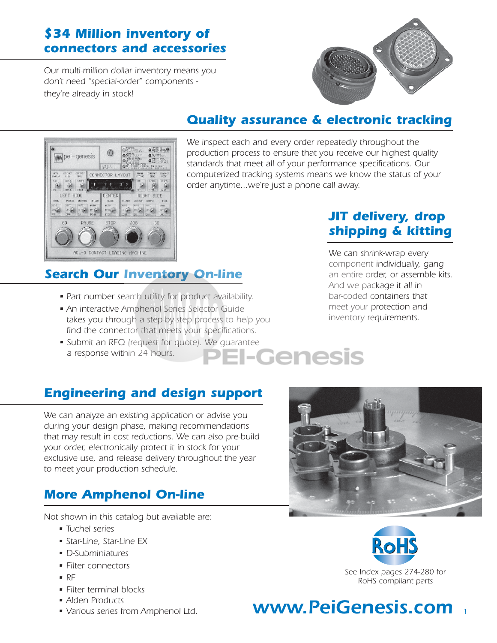## *\$34 Million inventory of connectors and accessories*

*Our multi-million dollar inventory means you don't need "special-order" components they're already in stock!*



## *Quality assurance & electronic tracking*



*We inspect each and every order repeatedly throughout the production process to ensure that you receive our highest quality standards that meet all of your performance specifications. Our computerized tracking systems means we know the status of your order anytime...we're just a phone call away.*

## *JIT delivery, drop shipping & kitting*

#### *Search Our Inventory On-line*

- *Part number search utility for product availability.*
- *An interactive Amphenol Series Selector Guide takes you through a step-by-step process to help you find the connector that meets your specifications.*
- *Submit an RFQ (request for quote). We guarantee a response within 24 hours.*

*We can shrink-wrap every component individually, gang an entire order, or assemble kits. And we package it all in bar-coded containers that meet your protection and inventory requirements.*

### *Engineering and design support*

*We can analyze an existing application or advise you during your design phase, making recommendations that may result in cost reductions. We can also pre-build your order, electronically protect it in stock for your exclusive use, and release delivery throughout the year to meet your production schedule.*

### *More Amphenol On-line*

*Not shown in this catalog but available are:*

- *Tuchel series*
- *Star-Line, Star-Line EX*
- *D-Subminiatures*
- *Filter connectors*
- *RF*
- *Filter terminal blocks*
- *Alden Products*
- *Various series from Amphenol Ltd.*





## *www.PeiGenesis.com <sup>1</sup>*